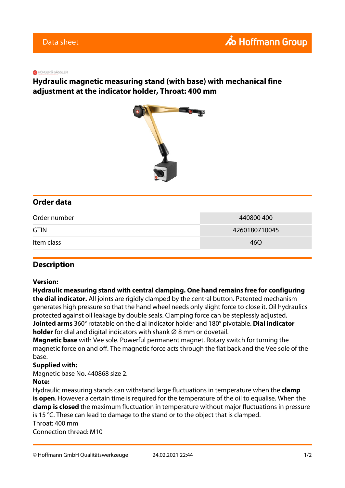#### **R** HÖRGER & GÄSSLER

## **Hydraulic magnetic measuring stand (with base) with mechanical fine adjustment at the indicator holder, Throat: 400 mm**



## **Order data**

| Order number | 440800400     |
|--------------|---------------|
| <b>GTIN</b>  | 4260180710045 |
| Item class   | 46Q           |

### **Description**

#### **Version:**

**Hydraulic measuring stand with central clamping. One hand remains free for configuring the dial indicator.** All joints are rigidly clamped by the central button. Patented mechanism generates high pressure so that the hand wheel needs only slight force to close it. Oil hydraulics protected against oil leakage by double seals. Clamping force can be steplessly adjusted. **Jointed arms** 360° rotatable on the dial indicator holder and 180° pivotable. **Dial indicator holder** for dial and digital indicators with shank Ø 8 mm or dovetail.

**Magnetic base** with Vee sole. Powerful permanent magnet. Rotary switch for turning the magnetic force on and off. The magnetic force acts through the flat back and the Vee sole of the base.

#### **Supplied with:**

Magnetic base No. 440868 size 2.

#### **Note:**

Hydraulic measuring stands can withstand large fluctuations in temperature when the **clamp is open**. However a certain time is required for the temperature of the oil to equalise. When the **clamp is closed** the maximum fluctuation in temperature without major fluctuations in pressure is 15 °C. These can lead to damage to the stand or to the object that is clamped. Throat: 400 mm Connection thread: M10